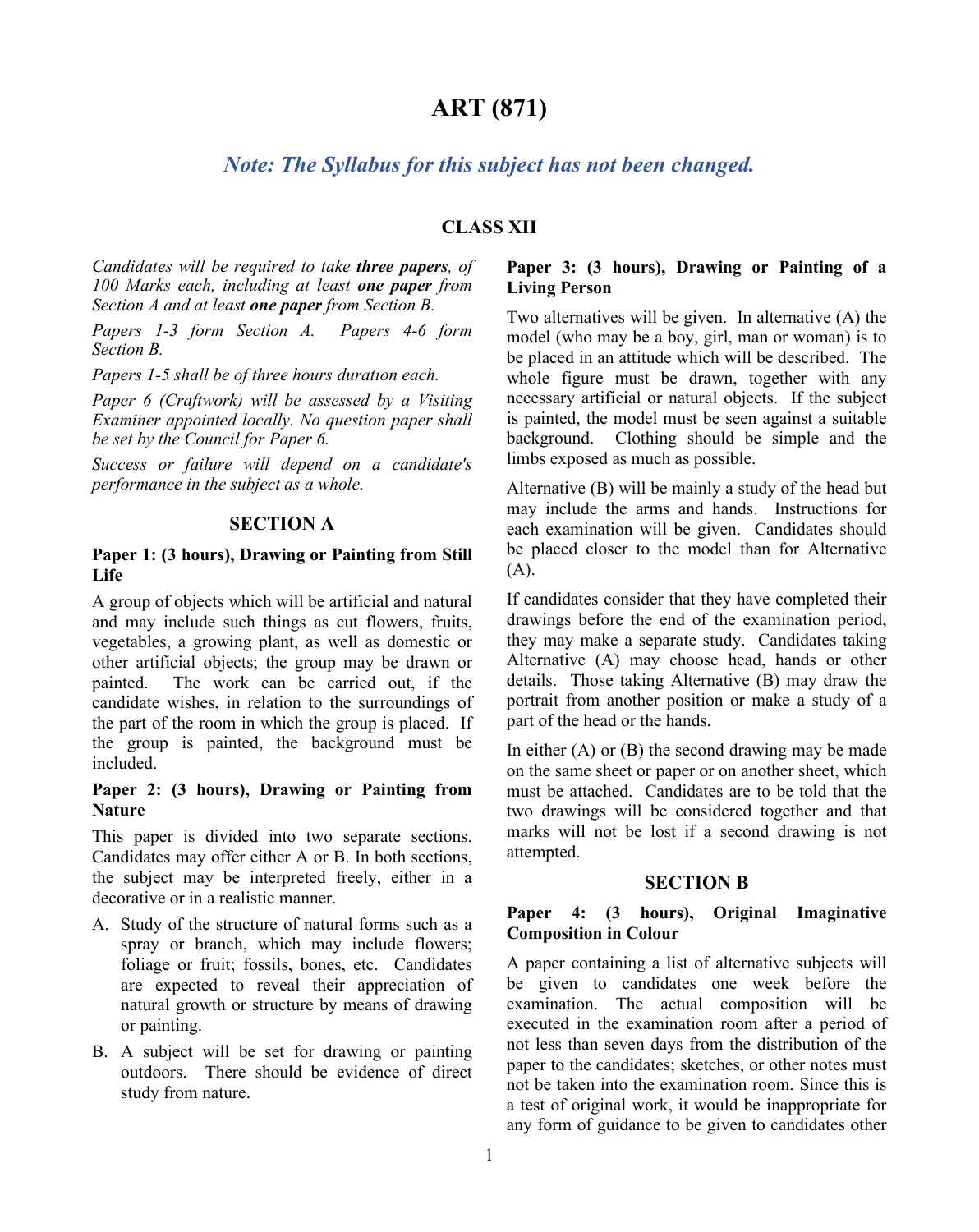# **ART (871)**

# *Note: The Syllabus for this subject has not been changed.*

## **CLASS XII**

*Candidates will be required to take three papers, of 100 Marks each, including at least one paper from Section A and at least one paper from Section B.*

*Papers 1-3 form Section A. Papers 4-6 form Section B.*

*Papers 1-5 shall be of three hours duration each.*

*Paper 6 (Craftwork) will be assessed by a Visiting Examiner appointed locally. No question paper shall be set by the Council for Paper 6.*

*Success or failure will depend on a candidate's performance in the subject as a whole.* 

### **SECTION A**

### **Paper 1: (3 hours), Drawing or Painting from Still Life**

A group of objects which will be artificial and natural and may include such things as cut flowers, fruits, vegetables, a growing plant, as well as domestic or other artificial objects; the group may be drawn or The work can be carried out, if the candidate wishes, in relation to the surroundings of the part of the room in which the group is placed. If the group is painted, the background must be included.

### **Paper 2: (3 hours), Drawing or Painting from Nature**

This paper is divided into two separate sections. Candidates may offer either A or B. In both sections, the subject may be interpreted freely, either in a decorative or in a realistic manner.

- A. Study of the structure of natural forms such as a spray or branch, which may include flowers; foliage or fruit; fossils, bones, etc. Candidates are expected to reveal their appreciation of natural growth or structure by means of drawing or painting.
- B. A subject will be set for drawing or painting outdoors. There should be evidence of direct study from nature.

### **Paper 3: (3 hours), Drawing or Painting of a Living Person**

Two alternatives will be given. In alternative (A) the model (who may be a boy, girl, man or woman) is to be placed in an attitude which will be described. The whole figure must be drawn, together with any necessary artificial or natural objects. If the subject is painted, the model must be seen against a suitable background. Clothing should be simple and the limbs exposed as much as possible.

Alternative (B) will be mainly a study of the head but may include the arms and hands. Instructions for each examination will be given. Candidates should be placed closer to the model than for Alternative (A).

If candidates consider that they have completed their drawings before the end of the examination period, they may make a separate study. Candidates taking Alternative (A) may choose head, hands or other details. Those taking Alternative (B) may draw the portrait from another position or make a study of a part of the head or the hands.

In either  $(A)$  or  $(B)$  the second drawing may be made on the same sheet or paper or on another sheet, which must be attached. Candidates are to be told that the two drawings will be considered together and that marks will not be lost if a second drawing is not attempted.

#### **SECTION B**

### **Paper 4: (3 hours), Original Imaginative Composition in Colour**

A paper containing a list of alternative subjects will be given to candidates one week before the examination. The actual composition will be executed in the examination room after a period of not less than seven days from the distribution of the paper to the candidates; sketches, or other notes must not be taken into the examination room. Since this is a test of original work, it would be inappropriate for any form of guidance to be given to candidates other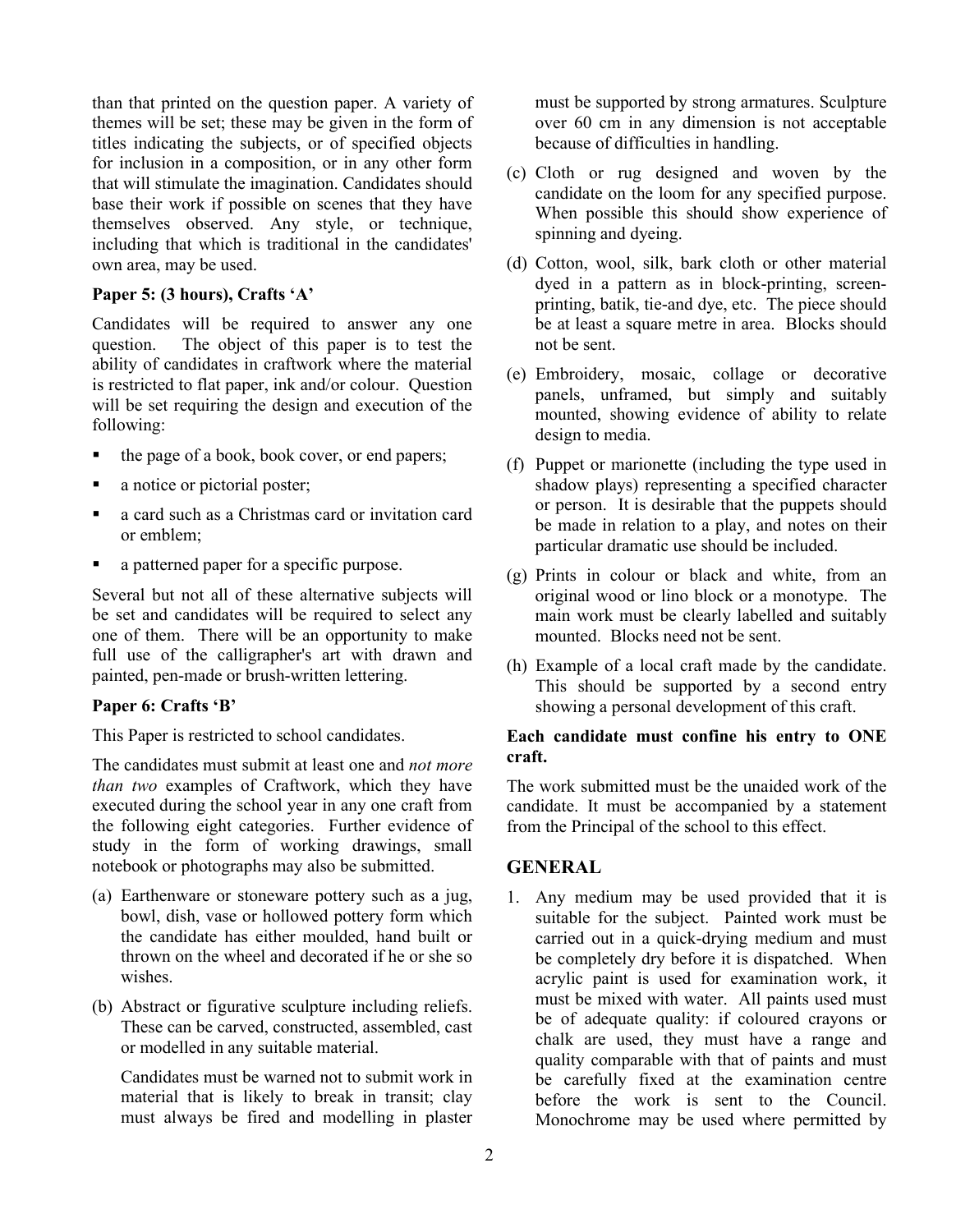than that printed on the question paper. A variety of themes will be set; these may be given in the form of titles indicating the subjects, or of specified objects for inclusion in a composition, or in any other form that will stimulate the imagination. Candidates should base their work if possible on scenes that they have themselves observed. Any style, or technique, including that which is traditional in the candidates' own area, may be used.

#### **Paper 5: (3 hours), Crafts 'A'**

Candidates will be required to answer any one question. The object of this paper is to test the The object of this paper is to test the ability of candidates in craftwork where the material is restricted to flat paper, ink and/or colour. Question will be set requiring the design and execution of the following:

- the page of a book, book cover, or end papers;
- a notice or pictorial poster;
- a card such as a Christmas card or invitation card or emblem;
- a patterned paper for a specific purpose.

Several but not all of these alternative subjects will be set and candidates will be required to select any one of them. There will be an opportunity to make full use of the calligrapher's art with drawn and painted, pen-made or brush-written lettering.

### **Paper 6: Crafts 'B'**

This Paper is restricted to school candidates.

The candidates must submit at least one and *not more than two* examples of Craftwork, which they have executed during the school year in any one craft from the following eight categories. Further evidence of study in the form of working drawings, small notebook or photographs may also be submitted.

- (a) Earthenware or stoneware pottery such as a jug, bowl, dish, vase or hollowed pottery form which the candidate has either moulded, hand built or thrown on the wheel and decorated if he or she so wishes.
- (b) Abstract or figurative sculpture including reliefs. These can be carved, constructed, assembled, cast or modelled in any suitable material.

Candidates must be warned not to submit work in material that is likely to break in transit; clay must always be fired and modelling in plaster must be supported by strong armatures. Sculpture over 60 cm in any dimension is not acceptable because of difficulties in handling.

- (c) Cloth or rug designed and woven by the candidate on the loom for any specified purpose. When possible this should show experience of spinning and dyeing.
- (d) Cotton, wool, silk, bark cloth or other material dyed in a pattern as in block-printing, screenprinting, batik, tie-and dye, etc. The piece should be at least a square metre in area. Blocks should not be sent.
- (e) Embroidery, mosaic, collage or decorative panels, unframed, but simply and suitably mounted, showing evidence of ability to relate design to media.
- (f) Puppet or marionette (including the type used in shadow plays) representing a specified character or person. It is desirable that the puppets should be made in relation to a play, and notes on their particular dramatic use should be included.
- (g) Prints in colour or black and white, from an original wood or lino block or a monotype. The main work must be clearly labelled and suitably mounted. Blocks need not be sent.
- (h) Example of a local craft made by the candidate. This should be supported by a second entry showing a personal development of this craft.

### **Each candidate must confine his entry to ONE craft.**

The work submitted must be the unaided work of the candidate. It must be accompanied by a statement from the Principal of the school to this effect.

## **GENERAL**

1. Any medium may be used provided that it is suitable for the subject. Painted work must be carried out in a quick-drying medium and must be completely dry before it is dispatched. When acrylic paint is used for examination work, it must be mixed with water. All paints used must be of adequate quality: if coloured crayons or chalk are used, they must have a range and quality comparable with that of paints and must be carefully fixed at the examination centre before the work is sent to the Council. Monochrome may be used where permitted by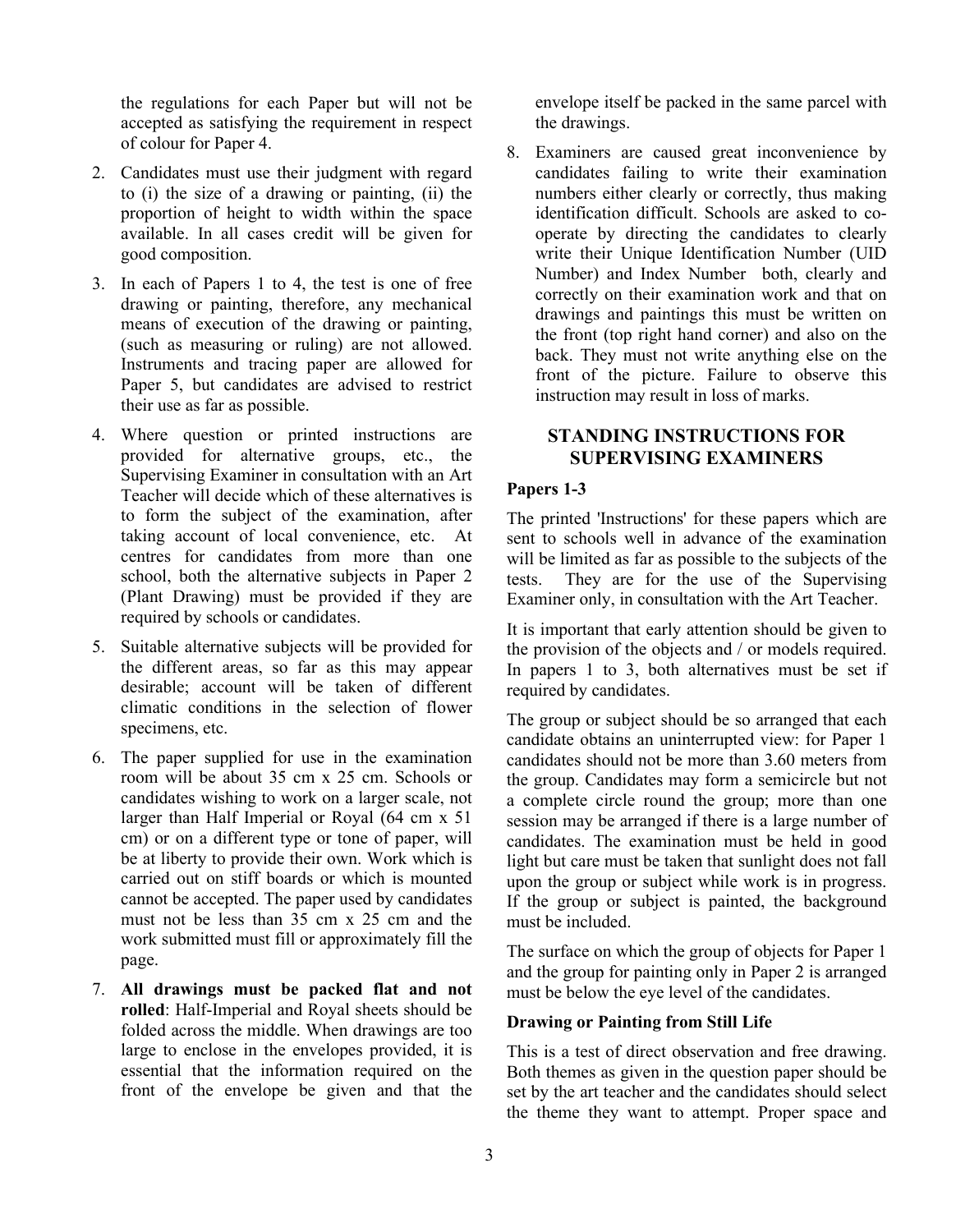the regulations for each Paper but will not be accepted as satisfying the requirement in respect of colour for Paper 4.

- 2. Candidates must use their judgment with regard to (i) the size of a drawing or painting, (ii) the proportion of height to width within the space available. In all cases credit will be given for good composition.
- 3. In each of Papers 1 to 4, the test is one of free drawing or painting, therefore, any mechanical means of execution of the drawing or painting, (such as measuring or ruling) are not allowed. Instruments and tracing paper are allowed for Paper 5, but candidates are advised to restrict their use as far as possible.
- 4. Where question or printed instructions are provided for alternative groups, etc., the Supervising Examiner in consultation with an Art Teacher will decide which of these alternatives is to form the subject of the examination, after taking account of local convenience, etc. At centres for candidates from more than one school, both the alternative subjects in Paper 2 (Plant Drawing) must be provided if they are required by schools or candidates.
- 5. Suitable alternative subjects will be provided for the different areas, so far as this may appear desirable; account will be taken of different climatic conditions in the selection of flower specimens, etc.
- 6. The paper supplied for use in the examination room will be about 35 cm x 25 cm. Schools or candidates wishing to work on a larger scale, not larger than Half Imperial or Royal (64 cm x 51 cm) or on a different type or tone of paper, will be at liberty to provide their own. Work which is carried out on stiff boards or which is mounted cannot be accepted. The paper used by candidates must not be less than 35 cm x 25 cm and the work submitted must fill or approximately fill the page.
- 7. **All drawings must be packed flat and not rolled**: Half-Imperial and Royal sheets should be folded across the middle. When drawings are too large to enclose in the envelopes provided, it is essential that the information required on the front of the envelope be given and that the

envelope itself be packed in the same parcel with the drawings.

8. Examiners are caused great inconvenience by candidates failing to write their examination numbers either clearly or correctly, thus making identification difficult. Schools are asked to cooperate by directing the candidates to clearly write their Unique Identification Number (UID Number) and Index Number both, clearly and correctly on their examination work and that on drawings and paintings this must be written on the front (top right hand corner) and also on the back. They must not write anything else on the front of the picture. Failure to observe this instruction may result in loss of marks.

## **STANDING INSTRUCTIONS FOR SUPERVISING EXAMINERS**

### **Papers 1-3**

The printed 'Instructions' for these papers which are sent to schools well in advance of the examination will be limited as far as possible to the subjects of the tests. They are for the use of the Supervising Examiner only, in consultation with the Art Teacher.

It is important that early attention should be given to the provision of the objects and / or models required. In papers 1 to 3, both alternatives must be set if required by candidates.

The group or subject should be so arranged that each candidate obtains an uninterrupted view: for Paper 1 candidates should not be more than 3.60 meters from the group. Candidates may form a semicircle but not a complete circle round the group; more than one session may be arranged if there is a large number of candidates. The examination must be held in good light but care must be taken that sunlight does not fall upon the group or subject while work is in progress. If the group or subject is painted, the background must be included.

The surface on which the group of objects for Paper 1 and the group for painting only in Paper 2 is arranged must be below the eye level of the candidates.

## **Drawing or Painting from Still Life**

This is a test of direct observation and free drawing. Both themes as given in the question paper should be set by the art teacher and the candidates should select the theme they want to attempt. Proper space and